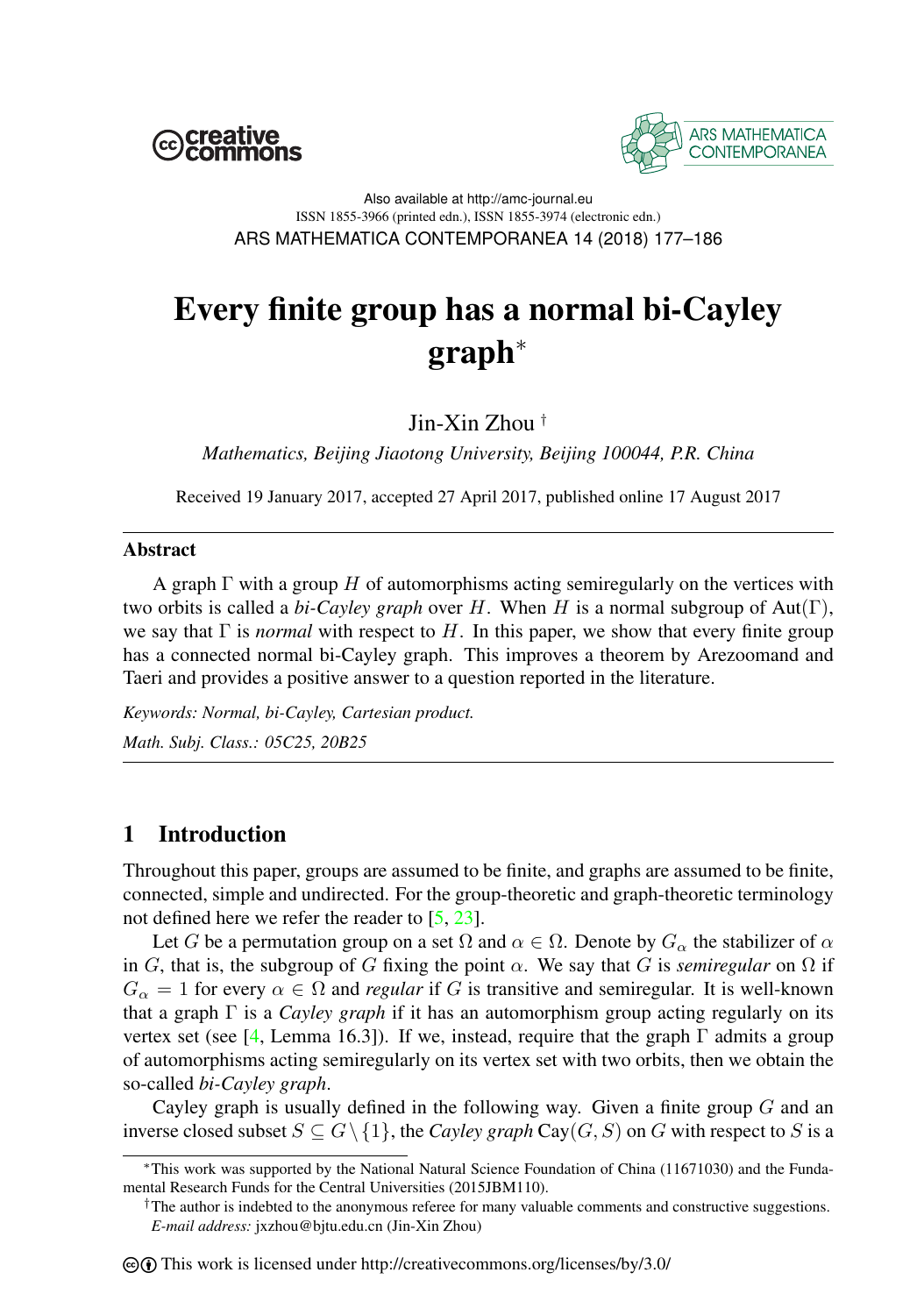



Also available at http://amc-journal.eu ISSN 1855-3966 (printed edn.), ISSN 1855-3974 (electronic edn.) ARS MATHEMATICA CONTEMPORANEA 14 (2018) 177–186

# Every finite group has a normal bi-Cayley graph<sup>∗</sup>

Jin-Xin Zhou †

*Mathematics, Beijing Jiaotong University, Beijing 100044, P.R. China*

Received 19 January 2017, accepted 27 April 2017, published online 17 August 2017

#### Abstract

A graph  $\Gamma$  with a group H of automorphisms acting semiregularly on the vertices with two orbits is called a *bi-Cayley graph* over H. When H is a normal subgroup of  $Aut(\Gamma)$ , we say that  $\Gamma$  is *normal* with respect to H. In this paper, we show that every finite group has a connected normal bi-Cayley graph. This improves a theorem by Arezoomand and Taeri and provides a positive answer to a question reported in the literature.

*Keywords: Normal, bi-Cayley, Cartesian product. Math. Subj. Class.: 05C25, 20B25*

## 1 Introduction

Throughout this paper, groups are assumed to be finite, and graphs are assumed to be finite, connected, simple and undirected. For the group-theoretic and graph-theoretic terminology not defined here we refer the reader to [\[5,](#page-8-0) [23\]](#page-9-0).

Let G be a permutation group on a set  $\Omega$  and  $\alpha \in \Omega$ . Denote by  $G_{\alpha}$  the stabilizer of  $\alpha$ in G, that is, the subgroup of G fixing the point  $\alpha$ . We say that G is *semiregular* on  $\Omega$  if  $G_{\alpha} = 1$  for every  $\alpha \in \Omega$  and *regular* if G is transitive and semiregular. It is well-known that a graph Γ is a *Cayley graph* if it has an automorphism group acting regularly on its vertex set (see [\[4,](#page-8-1) Lemma 16.3]). If we, instead, require that the graph  $\Gamma$  admits a group of automorphisms acting semiregularly on its vertex set with two orbits, then we obtain the so-called *bi-Cayley graph*.

Cayley graph is usually defined in the following way. Given a finite group  $G$  and an inverse closed subset  $S \subseteq G \setminus \{1\}$ , the *Cayley graph* Cay(*G*, *S*) on *G* with respect to *S* is a

<sup>∗</sup>This work was supported by the National Natural Science Foundation of China (11671030) and the Fundamental Research Funds for the Central Universities (2015JBM110).

<sup>†</sup>The author is indebted to the anonymous referee for many valuable comments and constructive suggestions. *E-mail address:* jxzhou@bjtu.edu.cn (Jin-Xin Zhou)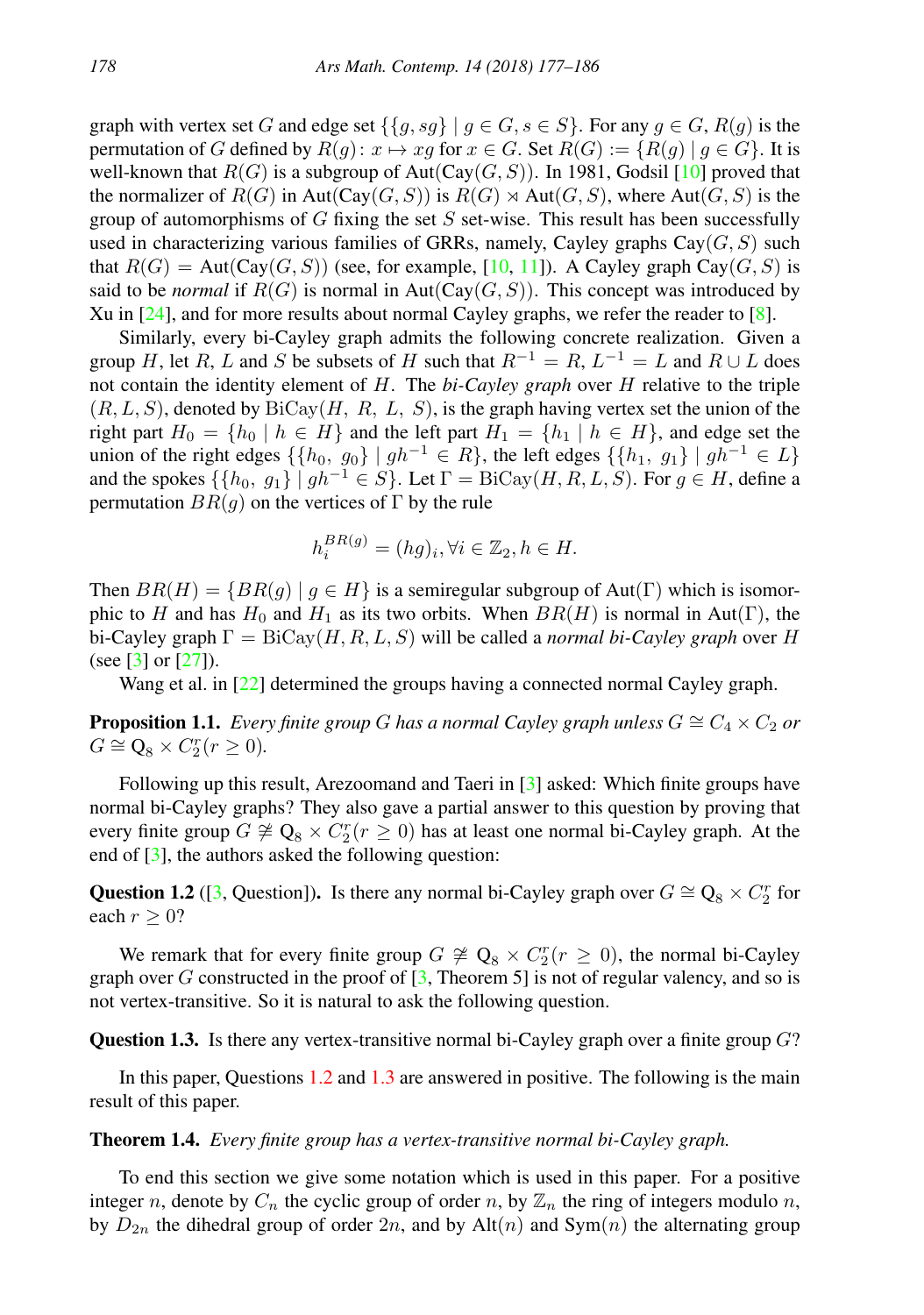graph with vertex set G and edge set  $\{g, sg\} \mid g \in G, s \in S\}$ . For any  $g \in G$ ,  $R(g)$  is the permutation of G defined by  $R(q): x \mapsto xg$  for  $x \in G$ . Set  $R(G) := \{ R(q) | q \in G \}$ . It is well-known that  $R(G)$  is a subgroup of Aut(Cay(G, S)). In 1981, Godsil [\[10\]](#page-8-2) proved that the normalizer of  $R(G)$  in Aut(Cay(G, S)) is  $R(G) \rtimes$  Aut(G, S), where Aut(G, S) is the group of automorphisms of  $G$  fixing the set  $S$  set-wise. This result has been successfully used in characterizing various families of GRRs, namely, Cayley graphs  $Cay(G, S)$  such that  $R(G) = \text{Aut}(\text{Cay}(G, S))$  (see, for example, [\[10,](#page-8-2) [11\]](#page-8-3)). A Cayley graph Cay $(G, S)$  is said to be *normal* if  $R(G)$  is normal in Aut(Cay( $G, S$ )). This concept was introduced by Xu in  $[24]$ , and for more results about normal Cayley graphs, we refer the reader to  $[8]$ .

Similarly, every bi-Cayley graph admits the following concrete realization. Given a group H, let R, L and S be subsets of H such that  $R^{-1} = R$ ,  $L^{-1} = L$  and  $R \cup L$  does not contain the identity element of H. The *bi-Cayley graph* over H relative to the triple  $(R, L, S)$ , denoted by  $Bicay(H, R, L, S)$ , is the graph having vertex set the union of the right part  $H_0 = \{h_0 \mid h \in H\}$  and the left part  $H_1 = \{h_1 \mid h \in H\}$ , and edge set the union of the right edges  $\{\{h_0, g_0\} \mid gh^{-1} \in R\}$ , the left edges  $\{\{h_1, g_1\} \mid gh^{-1} \in L\}$ and the spokes  $\{\{h_0, g_1\} \mid gh^{-1} \in S\}$ . Let  $\Gamma = \text{BiCay}(H, R, L, S)$ . For  $g \in H$ , define a permutation  $BR(q)$  on the vertices of  $\Gamma$  by the rule

$$
h_i^{BR(g)} = (hg)_i, \forall i \in \mathbb{Z}_2, h \in H.
$$

Then  $BR(H) = \{BR(g) | g \in H \}$  is a semiregular subgroup of Aut(Γ) which is isomorphic to H and has  $H_0$  and  $H_1$  as its two orbits. When  $BR(H)$  is normal in Aut(Γ), the bi-Cayley graph  $\Gamma = \text{BiCay}(H, R, L, S)$  will be called a *normal bi-Cayley graph* over H (see [\[3\]](#page-8-5) or  $[27]$ ).

Wang et al. in [\[22\]](#page-9-3) determined the groups having a connected normal Cayley graph.

<span id="page-1-3"></span>**Proposition 1.1.** *Every finite group* G has a normal Cayley graph unless  $G \cong C_4 \times C_2$  or  $G \cong \mathbf{Q}_8 \times C_2^r (r \geq 0).$ 

Following up this result, Arezoomand and Taeri in [\[3\]](#page-8-5) asked: Which finite groups have normal bi-Cayley graphs? They also gave a partial answer to this question by proving that every finite group  $G \not\cong Q_8 \times C_2^r(r \geq 0)$  has at least one normal bi-Cayley graph. At the end of  $[3]$ , the authors asked the following question:

<span id="page-1-0"></span>Question 1.2 ([\[3,](#page-8-5) Question]). Is there any normal bi-Cayley graph over  $G \cong Q_8 \times C_2^r$  for each  $r \geq 0$ ?

We remark that for every finite group  $G \not\cong \mathbb{Q}_8 \times C_2^r (r \geq 0)$ , the normal bi-Cayley graph over G constructed in the proof of  $[3,$  Theorem 5] is not of regular valency, and so is not vertex-transitive. So it is natural to ask the following question.

<span id="page-1-1"></span>**Question 1.3.** Is there any vertex-transitive normal bi-Cayley graph over a finite group  $G$ ?

In this paper, Questions [1.2](#page-1-0) and [1.3](#page-1-1) are answered in positive. The following is the main result of this paper.

#### <span id="page-1-2"></span>Theorem 1.4. *Every finite group has a vertex-transitive normal bi-Cayley graph.*

To end this section we give some notation which is used in this paper. For a positive integer n, denote by  $C_n$  the cyclic group of order n, by  $\mathbb{Z}_n$  the ring of integers modulo n, by  $D_{2n}$  the dihedral group of order  $2n$ , and by  $Alt(n)$  and  $Sym(n)$  the alternating group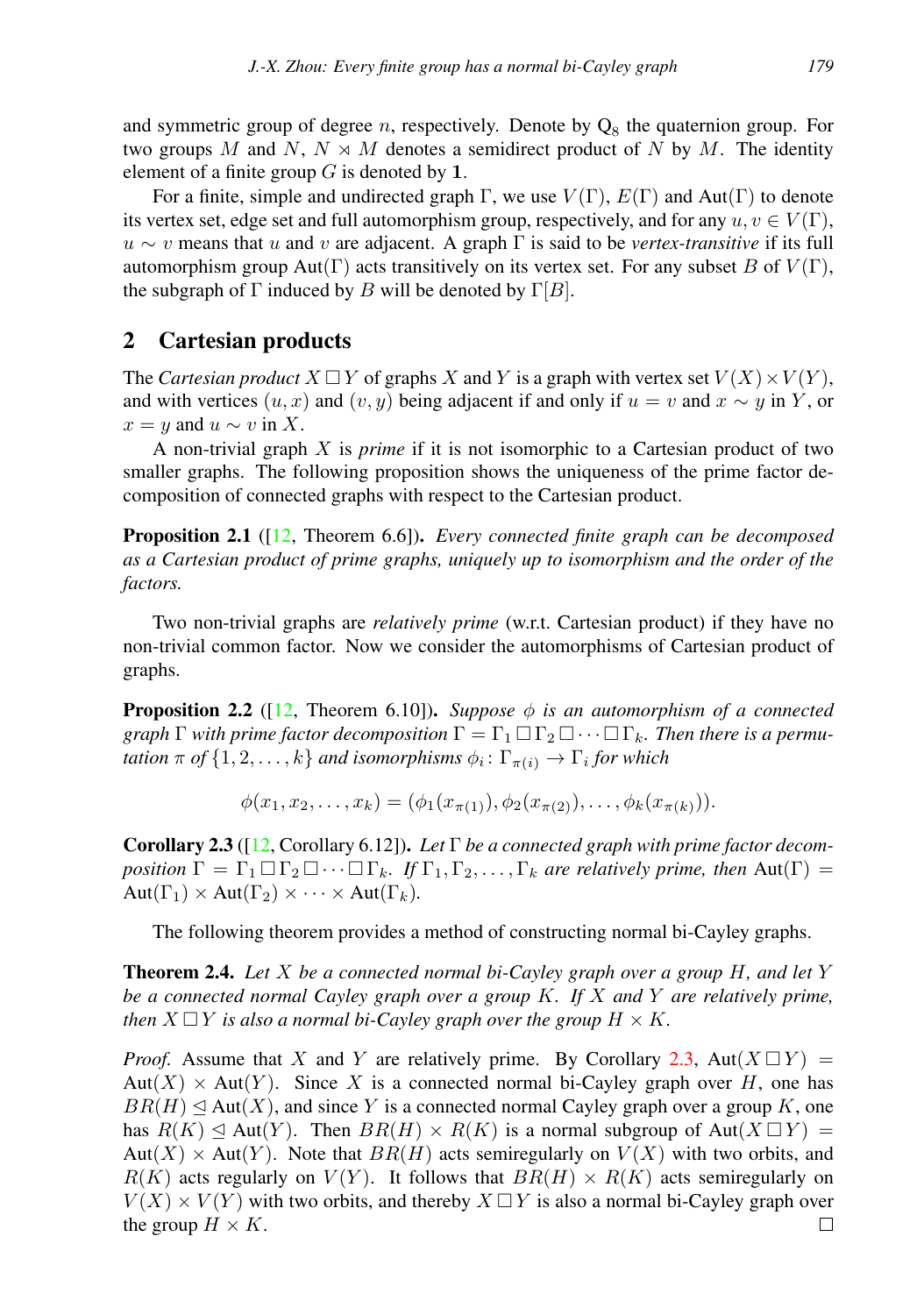and symmetric group of degree *n*, respectively. Denote by  $Q_8$  the quaternion group. For two groups M and N,  $N \rtimes M$  denotes a semidirect product of N by M. The identity element of a finite group  $G$  is denoted by 1.

For a finite, simple and undirected graph Γ, we use  $V(\Gamma)$ ,  $E(\Gamma)$  and Aut(Γ) to denote its vertex set, edge set and full automorphism group, respectively, and for any  $u, v \in V(\Gamma)$ ,  $u \sim v$  means that u and v are adjacent. A graph  $\Gamma$  is said to be *vertex-transitive* if its full automorphism group Aut(Γ) acts transitively on its vertex set. For any subset B of  $V(\Gamma)$ , the subgraph of  $\Gamma$  induced by B will be denoted by  $\Gamma[B]$ .

## 2 Cartesian products

The *Cartesian product*  $X \square Y$  of graphs X and Y is a graph with vertex set  $V(X) \times V(Y)$ , and with vertices  $(u, x)$  and  $(v, y)$  being adjacent if and only if  $u = v$  and  $x \sim y$  in Y, or  $x = y$  and  $u \sim v$  in X.

A non-trivial graph X is *prime* if it is not isomorphic to a Cartesian product of two smaller graphs. The following proposition shows the uniqueness of the prime factor decomposition of connected graphs with respect to the Cartesian product.

Proposition 2.1 ([\[12,](#page-8-6) Theorem 6.6]). *Every connected finite graph can be decomposed as a Cartesian product of prime graphs, uniquely up to isomorphism and the order of the factors.*

Two non-trivial graphs are *relatively prime* (w.r.t. Cartesian product) if they have no non-trivial common factor. Now we consider the automorphisms of Cartesian product of graphs.

<span id="page-2-2"></span>**Proposition 2.2** ([\[12,](#page-8-6) Theorem 6.10]). *Suppose*  $\phi$  *is an automorphism of a connected graph*  $\Gamma$  *with prime factor decomposition*  $\Gamma = \Gamma_1 \square \Gamma_2 \square \cdots \square \Gamma_k$ *. Then there is a permu-* $\tau$  *tation*  $\pi$  *of*  $\{1,2,\ldots,k\}$  *and isomorphisms*  $\phi_i\colon\Gamma_{\pi(i)}\to\Gamma_i$  *for which* 

$$
\phi(x_1, x_2, \dots, x_k) = (\phi_1(x_{\pi(1)}), \phi_2(x_{\pi(2)}), \dots, \phi_k(x_{\pi(k)})).
$$

<span id="page-2-0"></span>Corollary 2.3 ([\[12,](#page-8-6) Corollary 6.12]). *Let* Γ *be a connected graph with prime factor decomposition*  $\Gamma = \Gamma_1 \square \Gamma_2 \square \cdots \square \Gamma_k$ . If  $\Gamma_1, \Gamma_2, \ldots, \Gamma_k$  *are relatively prime, then* Aut $(\Gamma)$  =  $Aut(\Gamma_1) \times Aut(\Gamma_2) \times \cdots \times Aut(\Gamma_k).$ 

The following theorem provides a method of constructing normal bi-Cayley graphs.

<span id="page-2-1"></span>Theorem 2.4. *Let* X *be a connected normal bi-Cayley graph over a group* H*, and let* Y *be a connected normal Cayley graph over a group* K*. If* X *and* Y *are relatively prime, then*  $X \square Y$  *is also a normal bi-Cayley graph over the group*  $H \times K$ *.* 

*Proof.* Assume that X and Y are relatively prime. By Corollary [2.3,](#page-2-0) Aut $(X \square Y)$  = Aut $(X)$  × Aut $(Y)$ . Since X is a connected normal bi-Cayley graph over H, one has  $BR(H) \trianglelefteq Aut(X)$ , and since Y is a connected normal Cayley graph over a group K, one has  $R(K) \trianglelefteq Aut(Y)$ . Then  $BR(H) \times R(K)$  is a normal subgroup of  $Aut(X \square Y) =$  $Aut(X) \times Aut(Y)$ . Note that  $BR(H)$  acts semiregularly on  $V(X)$  with two orbits, and  $R(K)$  acts regularly on  $V(Y)$ . It follows that  $BR(H) \times R(K)$  acts semiregularly on  $V(X) \times V(Y)$  with two orbits, and thereby  $X \square Y$  is also a normal bi-Cayley graph over the group  $H \times K$ .  $\Box$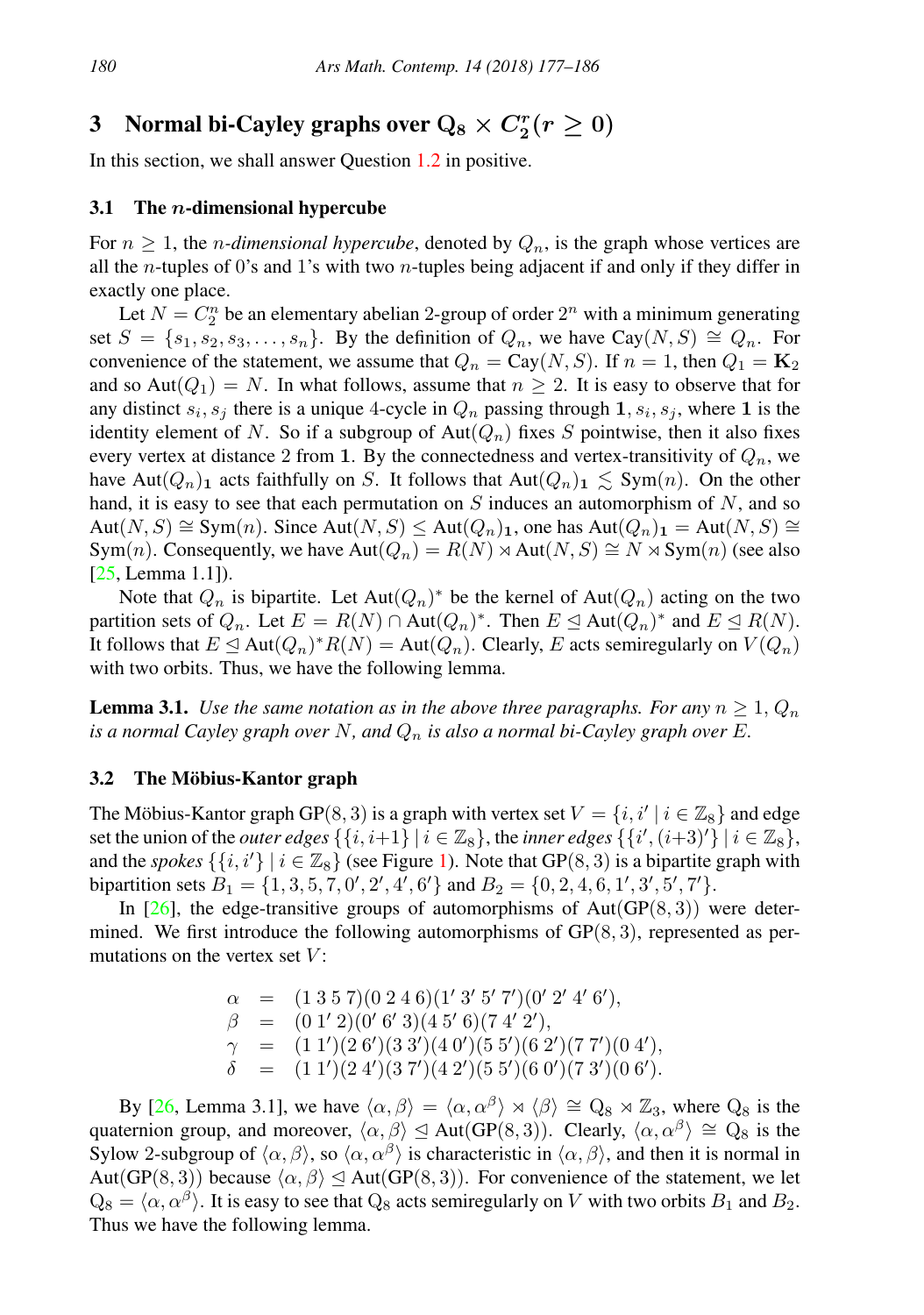## 3 Normal bi-Cayley graphs over  $Q_8 \times C_2^r (r \geq 0)$

In this section, we shall answer Question [1.2](#page-1-0) in positive.

#### <span id="page-3-1"></span>3.1 The *n*-dimensional hypercube

For  $n \geq 1$ , the *n-dimensional hypercube*, denoted by  $Q_n$ , is the graph whose vertices are all the *n*-tuples of 0's and 1's with two *n*-tuples being adjacent if and only if they differ in exactly one place.

Let  $N = C_2^n$  be an elementary abelian 2-group of order  $2^n$  with a minimum generating set  $S = \{s_1, s_2, s_3, \ldots, s_n\}$ . By the definition of  $Q_n$ , we have Cay $(N, S) \cong Q_n$ . For convenience of the statement, we assume that  $Q_n = Cay(N, S)$ . If  $n = 1$ , then  $Q_1 = \mathbf{K}_2$ and so Aut $(Q_1) = N$ . In what follows, assume that  $n \geq 2$ . It is easy to observe that for any distinct  $s_i, s_j$  there is a unique 4-cycle in  $Q_n$  passing through  $1, s_i, s_j$ , where 1 is the identity element of N. So if a subgroup of Aut $(Q_n)$  fixes S pointwise, then it also fixes every vertex at distance 2 from 1. By the connectedness and vertex-transitivity of  $Q_n$ , we have Aut $(Q_n)$ <sub>1</sub> acts faithfully on S. It follows that Aut $(Q_n)$ <sub>1</sub>  $\leq$  Sym $(n)$ . On the other hand, it is easy to see that each permutation on  $S$  induces an automorphism of  $N$ , and so  $Aut(N, S) \cong Sym(n)$ . Since  $Aut(N, S) \le Aut(Q_n)_1$ , one has  $Aut(Q_n)_1 = Aut(N, S) \cong$ Sym(n). Consequently, we have  $Aut(Q_n) = R(N) \rtimes Aut(N, S) \cong N \rtimes Sym(n)$  (see also [\[25,](#page-9-4) Lemma 1.1]).

Note that  $Q_n$  is bipartite. Let  $Aut(Q_n)^*$  be the kernel of  $Aut(Q_n)$  acting on the two partition sets of  $Q_n$ . Let  $E = R(N) \cap Aut(Q_n)^*$ . Then  $E \leq Aut(Q_n)^*$  and  $E \leq R(N)$ . It follows that  $E \trianglelefteq \text{Aut}(Q_n)^* R(N) = \text{Aut}(Q_n)$ . Clearly, E acts semiregularly on  $V(Q_n)$ with two orbits. Thus, we have the following lemma.

<span id="page-3-0"></span>**Lemma 3.1.** *Use the same notation as in the above three paragraphs. For any*  $n \geq 1$ ,  $Q_n$ *is a normal Cayley graph over* N, and  $Q_n$  *is also a normal bi-Cayley graph over* E.

#### 3.2 The Möbius-Kantor graph

The Möbius-Kantor graph GP(8, 3) is a graph with vertex set  $V = \{i, i' \mid i \in \mathbb{Z}_8\}$  and edge set the union of the *outer edges*  $\{\{i, i+1\} | i \in \mathbb{Z}_8\}$ , the *inner edges*  $\{\{i', (i+3)'\} | i \in \mathbb{Z}_8\}$ , and the *spokes*  $\{\{i, i'\} | i \in \mathbb{Z}_8\}$  (see Figure [1\)](#page-4-0). Note that GP(8, 3) is a bipartite graph with bipartition sets  $B_1 = \{1, 3, 5, 7, 0', 2', 4', 6'\}$  and  $B_2 = \{0, 2, 4, 6, 1', 3', 5', 7'\}.$ 

In [\[26\]](#page-9-5), the edge-transitive groups of automorphisms of Aut( $GP(8, 3)$ ) were determined. We first introduce the following automorphisms of  $\text{GP}(8,3)$ , represented as permutations on the vertex set  $V$ :

> $\alpha = (1\ 3\ 5\ 7)(0\ 2\ 4\ 6)(1'\ 3'\ 5'\ 7')(0'\ 2'\ 4'\ 6'),$  $\beta = (0\ 1'\ 2)(0'\ 6'\ 3)(4\ 5'\ 6)(7\ 4'\ 2'),$  $\gamma = (1\ 1')(2\ 6')(3\ 3')(4\ 0')(5\ 5')(6\ 2')(7\ 7')(0\ 4'),$  $\delta$  = (1 1')(2 4')(3 7')(4 2')(5 5')(6 0')(7 3')(0 6').

By [\[26,](#page-9-5) Lemma 3.1], we have  $\langle \alpha, \beta \rangle = \langle \alpha, \alpha^{\beta} \rangle \rtimes \langle \beta \rangle \cong Q_8 \rtimes \mathbb{Z}_3$ , where  $Q_8$  is the quaternion group, and moreover,  $\langle \alpha, \beta \rangle \leq Aut(GP(8, 3))$ . Clearly,  $\langle \alpha, \alpha^{\beta} \rangle \cong Q_8$  is the Sylow 2-subgroup of  $\langle \alpha, \beta \rangle$ , so  $\langle \alpha, \alpha^{\beta} \rangle$  is characteristic in  $\langle \alpha, \beta \rangle$ , and then it is normal in Aut(GP(8,3)) because  $\langle \alpha, \beta \rangle \le$  Aut(GP(8, 3)). For convenience of the statement, we let  $Q_8 = \langle \alpha, \alpha^{\beta} \rangle$ . It is easy to see that  $Q_8$  acts semiregularly on V with two orbits  $B_1$  and  $B_2$ . Thus we have the following lemma.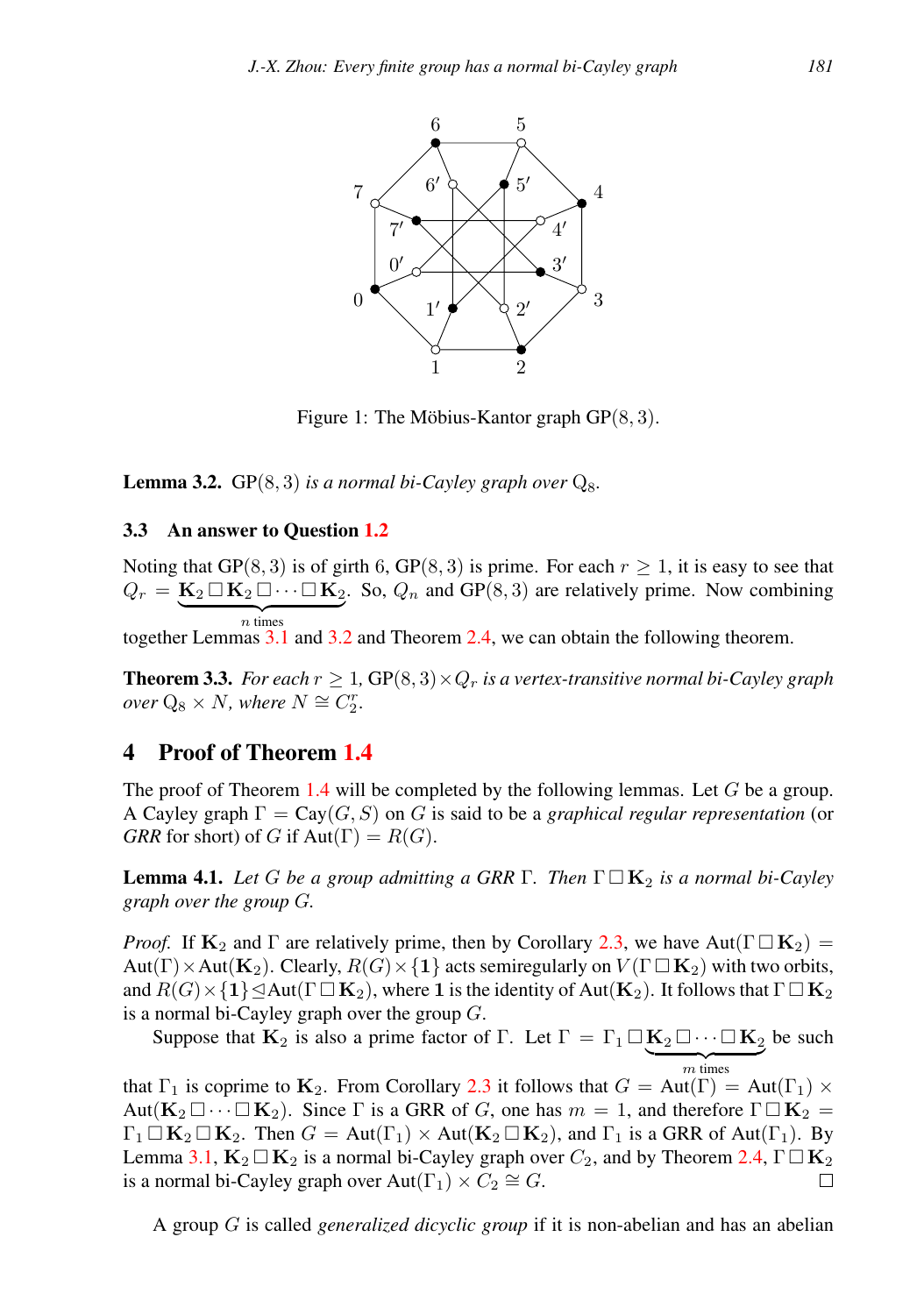

<span id="page-4-0"></span>Figure 1: The Möbius-Kantor graph  $GP(8, 3)$ .

<span id="page-4-1"></span>**Lemma 3.2.** GP $(8, 3)$  *is a normal bi-Cayley graph over*  $Q_8$ *.* 

#### 3.3 An answer to Question [1.2](#page-1-0)

Noting that GP(8, 3) is of girth 6, GP(8, 3) is prime. For each  $r \ge 1$ , it is easy to see that  $Q_r = \mathbf{K}_2 \square \mathbf{K}_2 \square \cdots \square \mathbf{K}_2$ . So,  $Q_n$  and GP(8,3) are relatively prime. Now combining  $\overline{n}$  times together Lemmas [3.1](#page-3-0) and [3.2](#page-4-1) and Theorem [2.4,](#page-2-1) we can obtain the following theorem.

<span id="page-4-2"></span>**Theorem 3.3.** *For each*  $r \geq 1$ , GP(8, 3)  $\times Q_r$  *is a vertex-transitive normal bi-Cayley graph*  $over Q_8 \times N$ , where  $N \cong C_2^r$ .

### 4 Proof of Theorem [1.4](#page-1-2)

The proof of Theorem [1.4](#page-1-2) will be completed by the following lemmas. Let  $G$  be a group. A Cayley graph  $\Gamma = \text{Cay}(G, S)$  on G is said to be a *graphical regular representation* (or *GRR* for short) of G if  $Aut(\Gamma) = R(G)$ .

<span id="page-4-3"></span>**Lemma 4.1.** Let G be a group admitting a GRR  $\Gamma$ . Then  $\Gamma \square \mathbf{K}_2$  is a normal bi-Cayley *graph over the group* G*.*

*Proof.* If  $\mathbf{K}_2$  and  $\Gamma$  are relatively prime, then by Corollary [2.3,](#page-2-0) we have Aut( $\Gamma \Box \mathbf{K}_2$ ) = Aut(Γ) × Aut(K<sub>2</sub>). Clearly,  $R(G)$  × {1} acts semiregularly on  $V(\Gamma \square K_2)$  with two orbits, and  $R(G) \times \{1\} \trianglelefteq$ Aut(Γ $\square$  **K**<sub>2</sub>), where 1 is the identity of Aut(**K**<sub>2</sub>). It follows that  $\Gamma \square$  **K**<sub>2</sub> is a normal bi-Cayley graph over the group  $G$ .

Suppose that  $\mathbf{K}_2$  is also a prime factor of  $\Gamma$ . Let  $\Gamma = \Gamma_1 \square \mathbf{K}_2 \square \cdots \square \mathbf{K}_2$  $\overline{m}$  times  $m$  times be such

that  $\Gamma_1$  is coprime to  $\mathbf{K}_2$ . From Corollary [2.3](#page-2-0) it follows that  $G = \text{Aut}(\Gamma) = \text{Aut}(\Gamma_1) \times$ Aut $(\mathbf{K}_2 \Box \cdots \Box \mathbf{K}_2)$ . Since  $\Gamma$  is a GRR of G, one has  $m = 1$ , and therefore  $\Gamma \Box \mathbf{K}_2 =$  $\Gamma_1 \square \mathbf{K}_2 \square \mathbf{K}_2$ . Then  $G = \text{Aut}(\Gamma_1) \times \text{Aut}(\mathbf{K}_2 \square \mathbf{K}_2)$ , and  $\Gamma_1$  is a GRR of Aut $(\Gamma_1)$ . By Lemma [3.1,](#page-3-0)  $\mathbf{K}_2 \square \mathbf{K}_2$  is a normal bi-Cayley graph over  $C_2$ , and by Theorem [2.4,](#page-2-1)  $\Gamma \square \mathbf{K}_2$ is a normal bi-Cayley graph over  $Aut(\Gamma_1) \times C_2 \cong G$ .  $\Box$ 

A group G is called *generalized dicyclic group* if it is non-abelian and has an abelian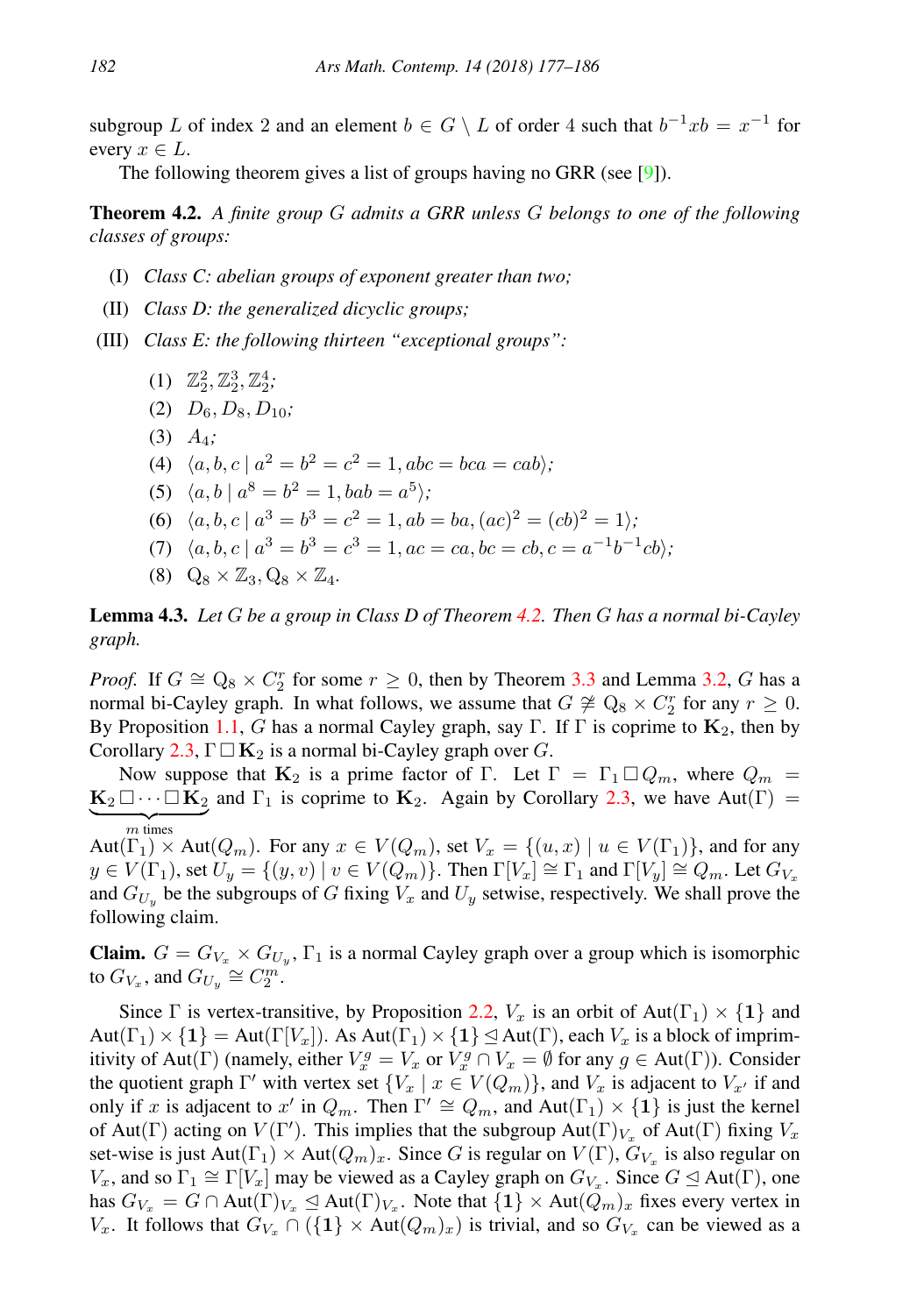subgroup L of index 2 and an element  $b \in G \setminus L$  of order 4 such that  $b^{-1}xb = x^{-1}$  for every  $x \in L$ .

The following theorem gives a list of groups having no GRR (see [\[9\]](#page-8-7)).

<span id="page-5-0"></span>Theorem 4.2. *A finite group* G *admits a GRR unless* G *belongs to one of the following classes of groups:*

- (I) *Class C: abelian groups of exponent greater than two;*
- (II) *Class D: the generalized dicyclic groups;*
- (III) *Class E: the following thirteen "exceptional groups":*
	- (1)  $\mathbb{Z}_2^2, \mathbb{Z}_2^3, \mathbb{Z}_2^4;$
	- $(D_6, D_8, D_{10};$
	- (3) A4*;*
	- (4)  $\langle a, b, c \mid a^2 = b^2 = c^2 = 1, abc = bca = cab \rangle;$
	- (5)  $\langle a, b | a^8 = b^2 = 1, bab = a^5 \rangle;$
	- (6)  $\langle a, b, c \mid a^3 = b^3 = c^2 = 1, ab = ba, (ac)^2 = (cb)^2 = 1 \rangle;$
	- (7)  $\langle a, b, c \mid a^3 = b^3 = c^3 = 1, ac = ca, bc = cb, c = a^{-1}b^{-1}cb \rangle;$
	- $(8)$   $Q_8 \times \mathbb{Z}_3$ ,  $Q_8 \times \mathbb{Z}_4$ .

<span id="page-5-1"></span>Lemma 4.3. *Let* G *be a group in Class D of Theorem [4.2.](#page-5-0) Then* G *has a normal bi-Cayley graph.*

*Proof.* If  $G \cong Q_8 \times C_2^r$  for some  $r \geq 0$ , then by Theorem [3.3](#page-4-2) and Lemma [3.2,](#page-4-1) G has a normal bi-Cayley graph. In what follows, we assume that  $G \not\cong Q_8 \times C_2^r$  for any  $r \geq 0$ . By Proposition [1.1,](#page-1-3) G has a normal Cayley graph, say Γ. If Γ is coprime to  $K_2$ , then by Corollary [2.3,](#page-2-0)  $\Gamma \square \mathbf{K}_2$  is a normal bi-Cayley graph over G.

Now suppose that  $K_2$  is a prime factor of  $\Gamma$ . Let  $\Gamma = \Gamma_1 \square Q_m$ , where  $Q_m =$  $\mathbf{K}_2 \Box \cdots \Box \mathbf{K}_2$  and  $\Gamma_1$  is coprime to  $\mathbf{K}_2$ . Again by Corollary [2.3,](#page-2-0) we have Aut( $\Gamma$ ) =  ${m}$  times

 $Aut(\Gamma_1) \times Aut(Q_m)$ . For any  $x \in V(Q_m)$ , set  $V_x = \{(u, x) \mid u \in V(\Gamma_1)\}\)$ , and for any  $y \in V(\Gamma_1)$ , set  $U_y = \{(y, v) \mid v \in V(Q_m)\}\$ . Then  $\Gamma[V_x] \cong \Gamma_1$  and  $\Gamma[V_y] \cong Q_m$ . Let  $G_{V_x}$ and  $G_{U_y}$  be the subgroups of G fixing  $V_x$  and  $U_y$  setwise, respectively. We shall prove the following claim.

**Claim.**  $G = G_{V_x} \times G_{U_y}$ ,  $\Gamma_1$  is a normal Cayley graph over a group which is isomorphic to  $G_{V_x}$ , and  $G_{U_y} \cong C_2^m$ .

Since  $\Gamma$  is vertex-transitive, by Proposition [2.2,](#page-2-2)  $V_x$  is an orbit of Aut( $\Gamma_1 \times \{1\}$  and  $Aut(\Gamma_1) \times \{1\} = Aut(\Gamma[V_x])$ . As  $Aut(\Gamma_1) \times \{1\} \subseteq Aut(\Gamma)$ , each  $V_x$  is a block of imprimitivity of Aut(Γ) (namely, either  $V_x^g = V_x$  or  $V_x^g \cap V_x = \emptyset$  for any  $g \in Aut(\Gamma)$ ). Consider the quotient graph  $\Gamma'$  with vertex set  $\{V_x \mid x \in V(Q_m)\}\$ , and  $V_x$  is adjacent to  $V_{x'}$  if and only if x is adjacent to x' in  $Q_m$ . Then  $\Gamma' \cong Q_m$ , and  $Aut(\Gamma_1) \times \{1\}$  is just the kernel of Aut(Γ) acting on  $V(\Gamma')$ . This implies that the subgroup Aut(Γ) $_{V_x}$  of Aut(Γ) fixing  $V_x$ set-wise is just  $Aut(\Gamma_1) \times Aut(Q_m)_x$ . Since G is regular on  $V(\Gamma)$ ,  $G_{V_x}$  is also regular on  $V_x$ , and so  $\Gamma_1 \cong \Gamma[V_x]$  may be viewed as a Cayley graph on  $G_{V_x}$ . Since  $G \trianglelefteq Aut(\Gamma)$ , one has  $G_{V_x} = G \cap Aut(\Gamma)_{V_x} \trianglelefteq Aut(\Gamma)_{V_x}$ . Note that  $\{1\} \times Aut(\overline{Q}_m)_x$  fixes every vertex in  $V_x$ . It follows that  $G_{V_x} \cap (\{1\} \times Aut(Q_m)_x)$  is trivial, and so  $G_{V_x}$  can be viewed as a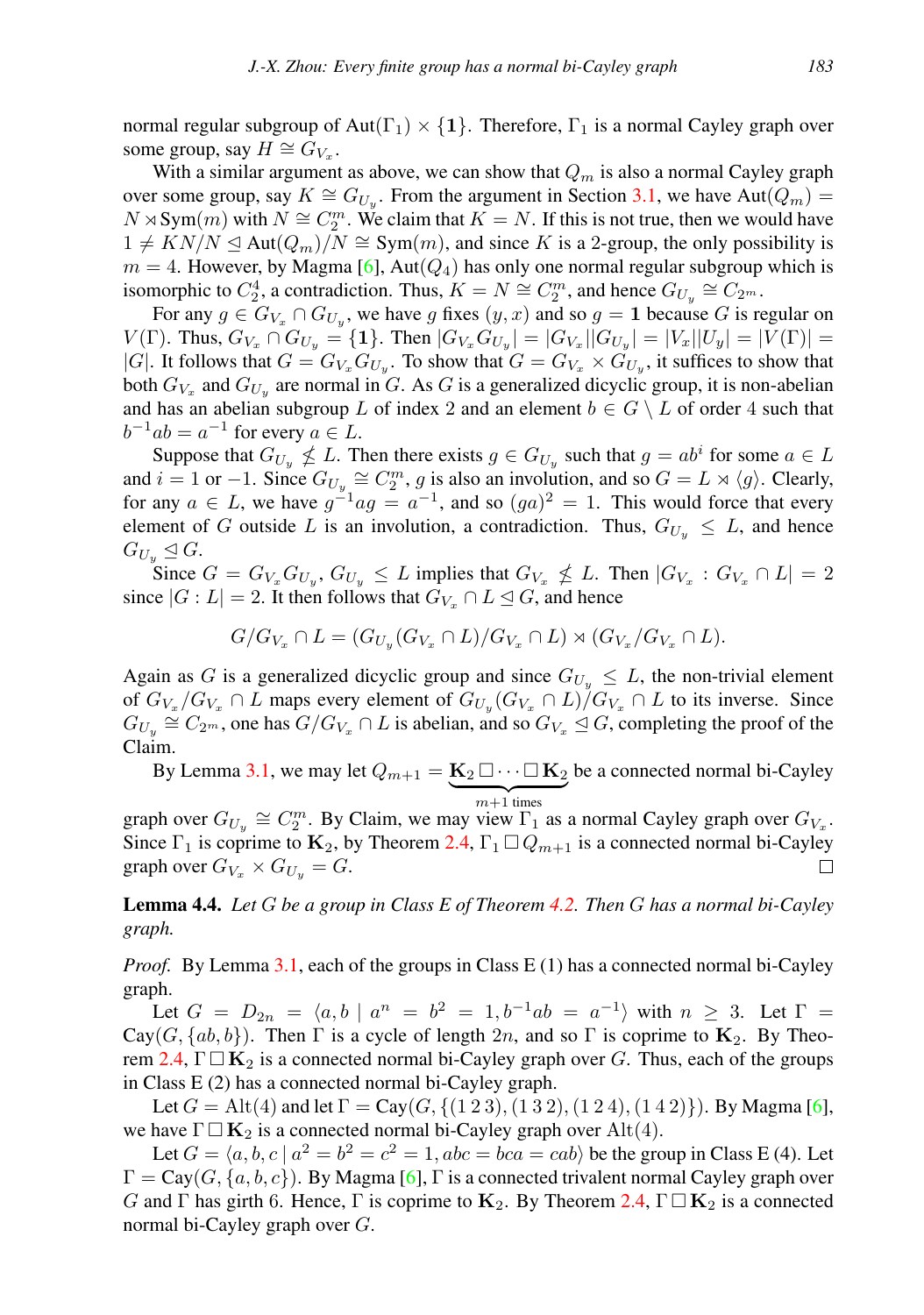normal regular subgroup of Aut( $\Gamma_1$ )  $\times$  {1}. Therefore,  $\Gamma_1$  is a normal Cayley graph over some group, say  $H \cong G_{V_x}$ .

With a similar argument as above, we can show that  $Q_m$  is also a normal Cayley graph over some group, say  $K \cong G_{U_y}$ . From the argument in Section [3.1,](#page-3-1) we have Aut $(Q_m)$  =  $N \rtimes \text{Sym}(m)$  with  $N \cong C_2^m$ . We claim that  $K = N$ . If this is not true, then we would have  $1 \neq K N/N \trianglelefteq Aut(Q_m)/N \cong Sym(m)$ , and since K is a 2-group, the only possibility is  $m = 4$ . However, by Magma [\[6\]](#page-8-8), Aut $(Q_4)$  has only one normal regular subgroup which is isomorphic to  $C_2^4$ , a contradiction. Thus,  $K = N \cong C_2^m$ , and hence  $G_{U_y} \cong C_{2^m}$ .

For any  $g \in G_{V_x} \cap G_{U_y}$ , we have g fixes  $(y, x)$  and so  $g = 1$  because G is regular on  $V(\Gamma)$ . Thus,  $G_{V_x} \cap G_{U_y} = \{1\}$ . Then  $|G_{V_x} G_{U_y}| = |G_{V_x}||G_{U_y}| = |V_x||U_y| = |V(\Gamma)| =$ |G|. It follows that  $G = G_{V_x} G_{U_y}$ . To show that  $G = G_{V_x} \times G_{U_y}$ , it suffices to show that both  $G_{V_x}$  and  $G_{U_y}$  are normal in G. As G is a generalized dicyclic group, it is non-abelian and has an abelian subgroup L of index 2 and an element  $b \in G \setminus L$  of order 4 such that  $b^{-1}ab = a^{-1}$  for every  $a \in L$ .

Suppose that  $G_{U_y} \nleq L$ . Then there exists  $g \in G_{U_y}$  such that  $g = ab^i$  for some  $a \in L$ and  $i = 1$  or  $-1$ . Since  $G_{U_y} \cong C_2^m$ , g is also an involution, and so  $G = L \rtimes \langle g \rangle$ . Clearly, for any  $a \in L$ , we have  $g^{-1}ag = a^{-1}$ , and so  $(ga)^2 = 1$ . This would force that every element of G outside L is an involution, a contradiction. Thus,  $G_{U_{\nu}} \leq L$ , and hence  $G_{U_u} \trianglelefteq G.$ 

Since  $G = G_{V_x} G_{U_y}, G_{U_y} \leq L$  implies that  $G_{V_x} \nleq L$ . Then  $|G_{V_x} : G_{V_x} \cap L| = 2$ since  $|G : L| = 2$ . It then follows that  $G_{V_x} \cap L \leq G$ , and hence

$$
G/G_{V_x} \cap L = (G_{U_y}(G_{V_x} \cap L)/G_{V_x} \cap L) \rtimes (G_{V_x}/G_{V_x} \cap L).
$$

Again as G is a generalized dicyclic group and since  $G_{U_{\alpha}} \leq L$ , the non-trivial element of  $G_{V_x}/G_{V_x} \cap L$  maps every element of  $G_{U_y}(G_{V_x} \cap L)/G_{V_x} \cap L$  to its inverse. Since  $G_{U_y} \cong C_{2^m}$ , one has  $G/G_{V_x} \cap L$  is abelian, and so  $G_{V_x} \trianglelefteq G$ , completing the proof of the Claim.

By Lemma [3.1,](#page-3-0) we may let  $Q_{m+1} = \mathbf{K}_2 \square \cdots \square \mathbf{K}_2$  ${m+1}$  times be a connected normal bi-Cayley

graph over  $G_{U_y} \cong C_2^m$ . By Claim, we may view  $\Gamma_1$  as a normal Cayley graph over  $G_{V_x}$ . Since  $\Gamma_1$  is coprime to  $\mathbf{K}_2$ , by Theorem [2.4,](#page-2-1)  $\Gamma_1 \square Q_{m+1}$  is a connected normal bi-Cayley graph over  $G_{V_x} \times G_{U_y} = G$ .  $\Box$ 

<span id="page-6-0"></span>Lemma 4.4. *Let* G *be a group in Class E of Theorem [4.2.](#page-5-0) Then* G *has a normal bi-Cayley graph.*

*Proof.* By Lemma [3.1,](#page-3-0) each of the groups in Class E (1) has a connected normal bi-Cayley graph.

Let  $G = D_{2n} = \langle a, b \mid a^n = b^2 = 1, b^{-1}ab = a^{-1} \rangle$  with  $n \geq 3$ . Let  $\Gamma =$  $Cay(G, \{ab, b\})$ . Then  $\Gamma$  is a cycle of length 2n, and so  $\Gamma$  is coprime to  $K_2$ . By Theo-rem [2.4,](#page-2-1)  $\Gamma \square \mathbf{K}_2$  is a connected normal bi-Cayley graph over G. Thus, each of the groups in Class E (2) has a connected normal bi-Cayley graph.

Let  $G = Alt(4)$  and let  $\Gamma = Cay(G, \{ (1 2 3), (1 3 2), (1 2 4), (1 4 2) \})$ . By Magma [\[6\]](#page-8-8), we have  $\Gamma \Box \mathbf{K}_2$  is a connected normal bi-Cayley graph over Alt(4).

Let  $G = \langle a, b, c \mid a^2 = b^2 = c^2 = 1, abc = bca = cab \rangle$  be the group in Class E (4). Let  $\Gamma = \text{Cay}(G, \{a, b, c\})$ . By Magma [\[6\]](#page-8-8),  $\Gamma$  is a connected trivalent normal Cayley graph over G and Γ has girth 6. Hence, Γ is coprime to  $K_2$ . By Theorem [2.4,](#page-2-1)  $\Gamma \Box K_2$  is a connected normal bi-Cayley graph over G.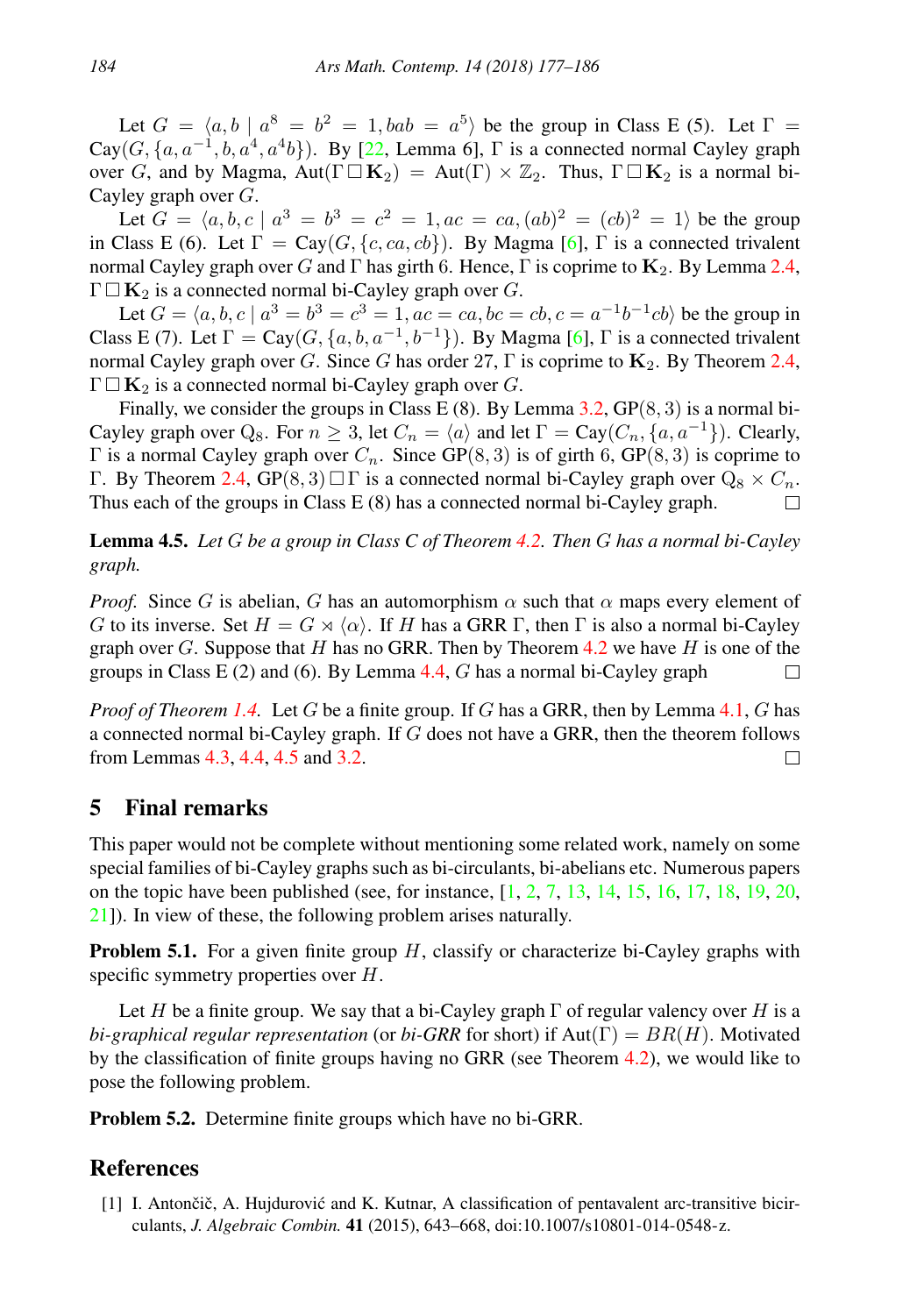Let  $G = \langle a, b \mid a^8 = b^2 = 1, bab = a^5 \rangle$  be the group in Class E (5). Let  $\Gamma =$  $Cay(G, \{a, a^{-1}, b, a^4, a^4b\})$ . By [\[22,](#page-9-3) Lemma 6],  $\Gamma$  is a connected normal Cayley graph over G, and by Magma, Aut( $\Gamma \Box K_2$ ) = Aut( $\Gamma \lor \mathbb{Z}_2$ . Thus,  $\Gamma \Box K_2$  is a normal bi-Cayley graph over G.

Let  $G = \langle a, b, c \mid a^3 = b^3 = c^2 = 1, ac = ca, (ab)^2 = (cb)^2 = 1 \rangle$  be the group in Class E (6). Let  $\Gamma = \text{Cay}(G, \{c, ca, cb\})$ . By Magma [\[6\]](#page-8-8),  $\Gamma$  is a connected trivalent normal Cayley graph over G and Γ has girth 6. Hence, Γ is coprime to  $K_2$ . By Lemma [2.4,](#page-2-1)  $\Gamma \square \mathbf{K}_2$  is a connected normal bi-Cayley graph over G.

Let  $G = \langle a, b, c \mid a^3 = b^3 = c^3 = 1, ac = ca, bc = cb, c = a^{-1}b^{-1}cb \rangle$  be the group in Class E (7). Let  $\Gamma = \text{Cay}(G, \{a, b, a^{-1}, b^{-1}\})$ . By Magma [\[6\]](#page-8-8),  $\Gamma$  is a connected trivalent normal Cayley graph over G. Since G has order 27, Γ is coprime to  $\mathbf{K}_2$ . By Theorem [2.4,](#page-2-1)  $\Gamma \square \mathbf{K}_2$  is a connected normal bi-Cayley graph over G.

Finally, we consider the groups in Class E  $(8)$ . By Lemma [3.2,](#page-4-1)  $GP(8, 3)$  is a normal bi-Cayley graph over  $Q_8$ . For  $n \geq 3$ , let  $C_n = \langle a \rangle$  and let  $\Gamma = \text{Cay}(C_n, \{a, a^{-1}\})$ . Clearly, Γ is a normal Cayley graph over  $C_n$ . Since GP(8, 3) is of girth 6, GP(8, 3) is coprime to Γ. By Theorem [2.4,](#page-2-1)  $GP(8, 3) \square \Gamma$  is a connected normal bi-Cayley graph over  $Q_8 \times C_n$ . Thus each of the groups in Class E (8) has a connected normal bi-Cayley graph. П

<span id="page-7-0"></span>Lemma 4.5. *Let* G *be a group in Class C of Theorem [4.2.](#page-5-0) Then* G *has a normal bi-Cayley graph.*

*Proof.* Since G is abelian, G has an automorphism  $\alpha$  such that  $\alpha$  maps every element of G to its inverse. Set  $H = G \rtimes \langle \alpha \rangle$ . If H has a GRR Γ, then Γ is also a normal bi-Cayley graph over  $G$ . Suppose that  $H$  has no GRR. Then by Theorem [4.2](#page-5-0) we have  $H$  is one of the groups in Class E (2) and (6). By Lemma  $4.4$ , G has a normal bi-Cayley graph  $\Box$ 

*Proof of Theorem [1.4.](#page-1-2)* Let G be a finite group. If G has a GRR, then by Lemma [4.1,](#page-4-3) G has a connected normal bi-Cayley graph. If G does not have a GRR, then the theorem follows from Lemmas [4.3,](#page-5-1) [4.4,](#page-6-0) [4.5](#page-7-0) and [3.2.](#page-4-1)  $\Box$ 

## 5 Final remarks

This paper would not be complete without mentioning some related work, namely on some special families of bi-Cayley graphs such as bi-circulants, bi-abelians etc. Numerous papers on the topic have been published (see, for instance,  $[1, 2, 7, 13, 14, 15, 16, 17, 18, 19, 20,$  $[1, 2, 7, 13, 14, 15, 16, 17, 18, 19, 20,$  $[1, 2, 7, 13, 14, 15, 16, 17, 18, 19, 20,$  $[1, 2, 7, 13, 14, 15, 16, 17, 18, 19, 20,$  $[1, 2, 7, 13, 14, 15, 16, 17, 18, 19, 20,$  $[1, 2, 7, 13, 14, 15, 16, 17, 18, 19, 20,$  $[1, 2, 7, 13, 14, 15, 16, 17, 18, 19, 20,$  $[1, 2, 7, 13, 14, 15, 16, 17, 18, 19, 20,$  $[1, 2, 7, 13, 14, 15, 16, 17, 18, 19, 20,$  $[1, 2, 7, 13, 14, 15, 16, 17, 18, 19, 20,$  $[1, 2, 7, 13, 14, 15, 16, 17, 18, 19, 20,$  $[1, 2, 7, 13, 14, 15, 16, 17, 18, 19, 20,$  $[1, 2, 7, 13, 14, 15, 16, 17, 18, 19, 20,$  $[1, 2, 7, 13, 14, 15, 16, 17, 18, 19, 20,$  $[1, 2, 7, 13, 14, 15, 16, 17, 18, 19, 20,$  $[1, 2, 7, 13, 14, 15, 16, 17, 18, 19, 20,$  $[1, 2, 7, 13, 14, 15, 16, 17, 18, 19, 20,$  $[1, 2, 7, 13, 14, 15, 16, 17, 18, 19, 20,$  $[1, 2, 7, 13, 14, 15, 16, 17, 18, 19, 20,$  $[1, 2, 7, 13, 14, 15, 16, 17, 18, 19, 20,$  $[1, 2, 7, 13, 14, 15, 16, 17, 18, 19, 20,$ [21\]](#page-8-19)). In view of these, the following problem arises naturally.

**Problem 5.1.** For a given finite group  $H$ , classify or characterize bi-Cayley graphs with specific symmetry properties over  $H$ .

Let H be a finite group. We say that a bi-Cayley graph  $\Gamma$  of regular valency over H is a *bi-graphical regular representation* (or *bi-GRR* for short) if  $Aut(\Gamma) = BR(H)$ . Motivated by the classification of finite groups having no GRR (see Theorem [4.2\)](#page-5-0), we would like to pose the following problem.

Problem 5.2. Determine finite groups which have no bi-GRR.

## References

<span id="page-7-1"></span>[1] I. Antončič, A. Hujdurović and K. Kutnar, A classification of pentavalent arc-transitive bicirculants, *J. Algebraic Combin.* 41 (2015), 643–668, doi:10.1007/s10801-014-0548-z.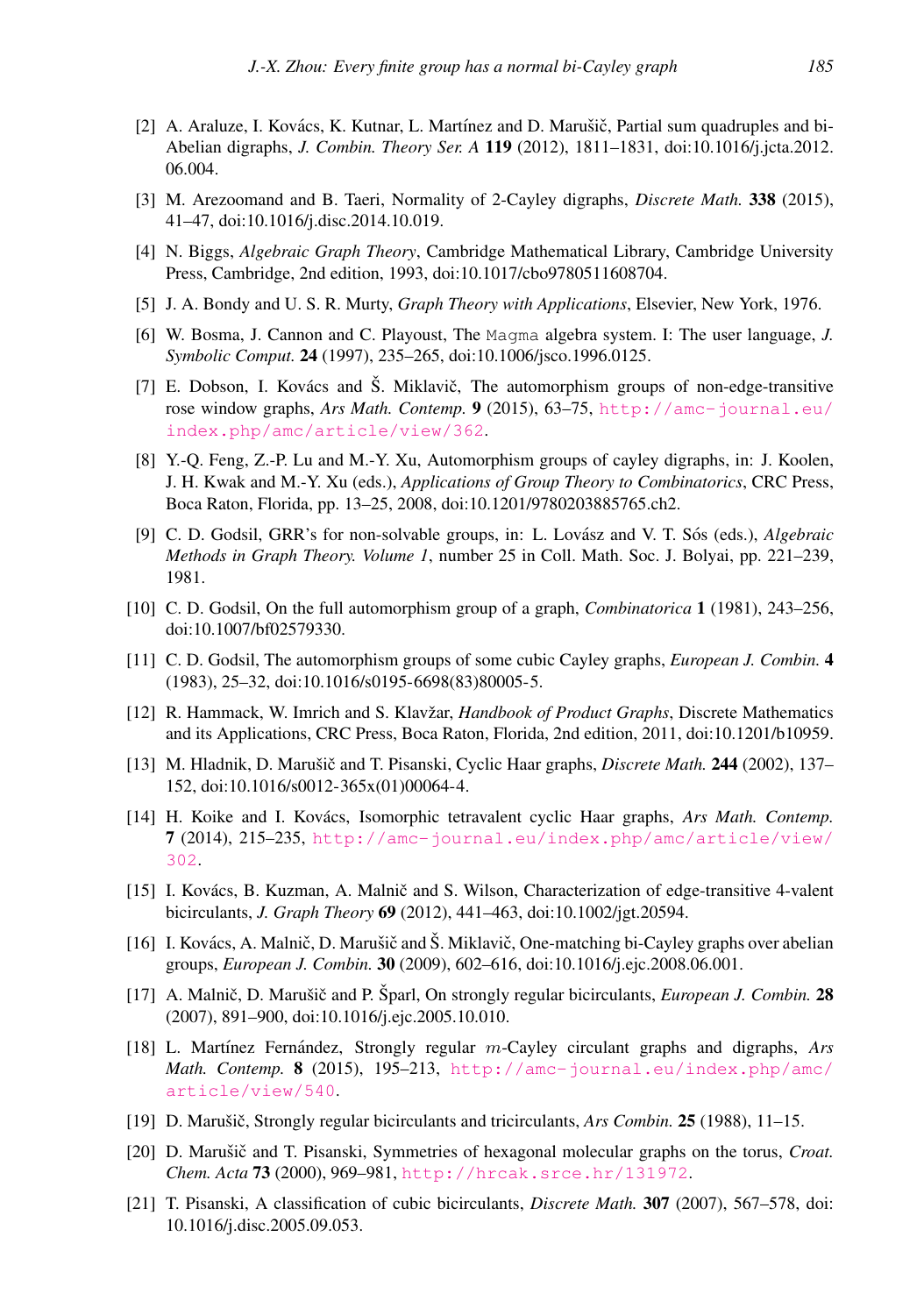- <span id="page-8-9"></span>[2] A. Araluze, I. Kovács, K. Kutnar, L. Martínez and D. Marušič, Partial sum quadruples and bi-Abelian digraphs, *J. Combin. Theory Ser. A* 119 (2012), 1811–1831, doi:10.1016/j.jcta.2012. 06.004.
- <span id="page-8-5"></span>[3] M. Arezoomand and B. Taeri, Normality of 2-Cayley digraphs, *Discrete Math.* 338 (2015), 41–47, doi:10.1016/j.disc.2014.10.019.
- <span id="page-8-1"></span>[4] N. Biggs, *Algebraic Graph Theory*, Cambridge Mathematical Library, Cambridge University Press, Cambridge, 2nd edition, 1993, doi:10.1017/cbo9780511608704.
- <span id="page-8-0"></span>[5] J. A. Bondy and U. S. R. Murty, *Graph Theory with Applications*, Elsevier, New York, 1976.
- <span id="page-8-8"></span>[6] W. Bosma, J. Cannon and C. Playoust, The Magma algebra system. I: The user language, *J. Symbolic Comput.* 24 (1997), 235–265, doi:10.1006/jsco.1996.0125.
- <span id="page-8-10"></span>[7] E. Dobson, I. Kovács and Š. Miklavič, The automorphism groups of non-edge-transitive rose window graphs, *Ars Math. Contemp.* 9 (2015), 63–75, [http://amc-journal.eu/](http://amc-journal.eu/index.php/amc/article/view/362) [index.php/amc/article/view/362](http://amc-journal.eu/index.php/amc/article/view/362).
- <span id="page-8-4"></span>[8] Y.-Q. Feng, Z.-P. Lu and M.-Y. Xu, Automorphism groups of cayley digraphs, in: J. Koolen, J. H. Kwak and M.-Y. Xu (eds.), *Applications of Group Theory to Combinatorics*, CRC Press, Boca Raton, Florida, pp. 13–25, 2008, doi:10.1201/9780203885765.ch2.
- <span id="page-8-7"></span>[9] C. D. Godsil, GRR's for non-solvable groups, in: L. Lovász and V. T. Sós (eds.), *Algebraic Methods in Graph Theory. Volume 1*, number 25 in Coll. Math. Soc. J. Bolyai, pp. 221–239, 1981.
- <span id="page-8-2"></span>[10] C. D. Godsil, On the full automorphism group of a graph, *Combinatorica* 1 (1981), 243–256, doi:10.1007/bf02579330.
- <span id="page-8-3"></span>[11] C. D. Godsil, The automorphism groups of some cubic Cayley graphs, *European J. Combin.* 4 (1983), 25–32, doi:10.1016/s0195-6698(83)80005-5.
- <span id="page-8-6"></span>[12] R. Hammack, W. Imrich and S. Klavžar, *Handbook of Product Graphs*, Discrete Mathematics and its Applications, CRC Press, Boca Raton, Florida, 2nd edition, 2011, doi:10.1201/b10959.
- <span id="page-8-11"></span>[13] M. Hladnik, D. Marušič and T. Pisanski, Cyclic Haar graphs, *Discrete Math.* 244 (2002), 137– 152, doi:10.1016/s0012-365x(01)00064-4.
- <span id="page-8-12"></span>[14] H. Koike and I. Kovács, Isomorphic tetravalent cyclic Haar graphs, *Ars Math. Contemp.* 7 (2014), 215–235, [http://amc-journal.eu/index.php/amc/article/view/](http://amc-journal.eu/index.php/amc/article/view/302) [302](http://amc-journal.eu/index.php/amc/article/view/302).
- <span id="page-8-13"></span>[15] I. Kovács, B. Kuzman, A. Malnič and S. Wilson, Characterization of edge-transitive 4-valent bicirculants, *J. Graph Theory* 69 (2012), 441–463, doi:10.1002/jgt.20594.
- <span id="page-8-14"></span>[16] I. Kovács, A. Malnič, D. Marušič and Š. Miklavič, One-matching bi-Cayley graphs over abelian groups, *European J. Combin.* 30 (2009), 602–616, doi:10.1016/j.ejc.2008.06.001.
- <span id="page-8-15"></span>[17] A. Malnič, D. Marušič and P. Sparl, On strongly regular bicirculants, *European J. Combin.* 28 (2007), 891–900, doi:10.1016/j.ejc.2005.10.010.
- <span id="page-8-16"></span>[18] L. Martínez Fernández, Strongly regular m-Cayley circulant graphs and digraphs, *Ars Math. Contemp.* 8 (2015), 195–213, [http://amc-journal.eu/index.php/amc/](http://amc-journal.eu/index.php/amc/article/view/540) [article/view/540](http://amc-journal.eu/index.php/amc/article/view/540).
- <span id="page-8-17"></span>[19] D. Marušič, Strongly regular bicirculants and tricirculants, *Ars Combin.* **25** (1988), 11–15.
- <span id="page-8-18"></span>[20] D. Marušič and T. Pisanski, Symmetries of hexagonal molecular graphs on the torus, *Croat. Chem. Acta* 73 (2000), 969–981, <http://hrcak.srce.hr/131972>.
- <span id="page-8-19"></span>[21] T. Pisanski, A classification of cubic bicirculants, *Discrete Math.* 307 (2007), 567–578, doi: 10.1016/j.disc.2005.09.053.